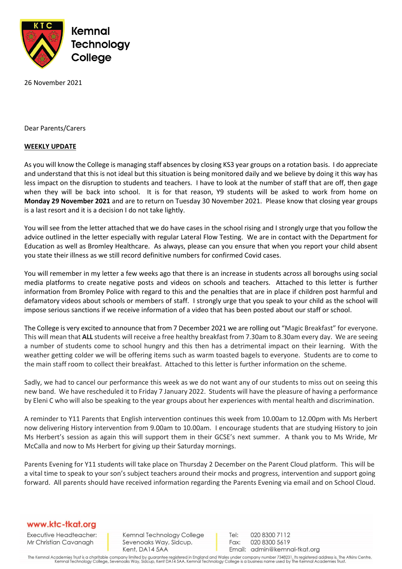

26 November 2021

Dear Parents/Carers

## **WEEKLY UPDATE**

As you will know the College is managing staff absences by closing KS3 year groups on a rotation basis. I do appreciate and understand that this is not ideal but this situation is being monitored daily and we believe by doing it this way has less impact on the disruption to students and teachers. I have to look at the number of staff that are off, then gage when they will be back into school. It is for that reason, Y9 students will be asked to work from home on **Monday 29 November 2021** and are to return on Tuesday 30 November 2021. Please know that closing year groups is a last resort and it is a decision I do not take lightly.

You will see from the letter attached that we do have cases in the school rising and I strongly urge that you follow the advice outlined in the letter especially with regular Lateral Flow Testing. We are in contact with the Department for Education as well as Bromley Healthcare. As always, please can you ensure that when you report your child absent you state their illness as we still record definitive numbers for confirmed Covid cases.

You will remember in my letter a few weeks ago that there is an increase in students across all boroughs using social media platforms to create negative posts and videos on schools and teachers. Attached to this letter is further information from Bromley Police with regard to this and the penalties that are in place if children post harmful and defamatory videos about schools or members of staff. I strongly urge that you speak to your child as the school will impose serious sanctions if we receive information of a video that has been posted about our staff or school.

The College is very excited to announce that from 7 December 2021 we are rolling out "Magic Breakfast" for everyone. This will mean that **ALL** students will receive a free healthy breakfast from 7.30am to 8.30am every day. We are seeing a number of students come to school hungry and this then has a detrimental impact on their learning. With the weather getting colder we will be offering items such as warm toasted bagels to everyone. Students are to come to the main staff room to collect their breakfast. Attached to this letter is further information on the scheme.

Sadly, we had to cancel our performance this week as we do not want any of our students to miss out on seeing this new band. We have rescheduled it to Friday 7 January 2022. Students will have the pleasure of having a performance by Eleni C who will also be speaking to the year groups about her experiences with mental health and discrimination.

A reminder to Y11 Parents that English intervention continues this week from 10.00am to 12.00pm with Ms Herbert now delivering History intervention from 9.00am to 10.00am. I encourage students that are studying History to join Ms Herbert's session as again this will support them in their GCSE's next summer. A thank you to Ms Wride, Mr McCalla and now to Ms Herbert for giving up their Saturday mornings.

Parents Evening for Y11 students will take place on Thursday 2 December on the Parent Cloud platform. This will be a vital time to speak to your son's subject teachers around their mocks and progress, intervention and support going forward. All parents should have received information regarding the Parents Evening via email and on School Cloud.

## www.ktc-tkat.org

Executive Headteacher: Mr Christian Cavanagh

Kemnal Technology College Sevenoaks Way, Sidcup, Kent, DA14 5AA

Tel: 020 8300 7112 Fax: 020 8300 5619 Email: admin@kemnal-tkat.org

The Kemnal Academies Trust is a charitable company limited by guarantee registered in England and Wales under company number 7348231. Its registered address is, The Atkins Centre,<br>Kemnal Technology College, Sevenoaks Way,